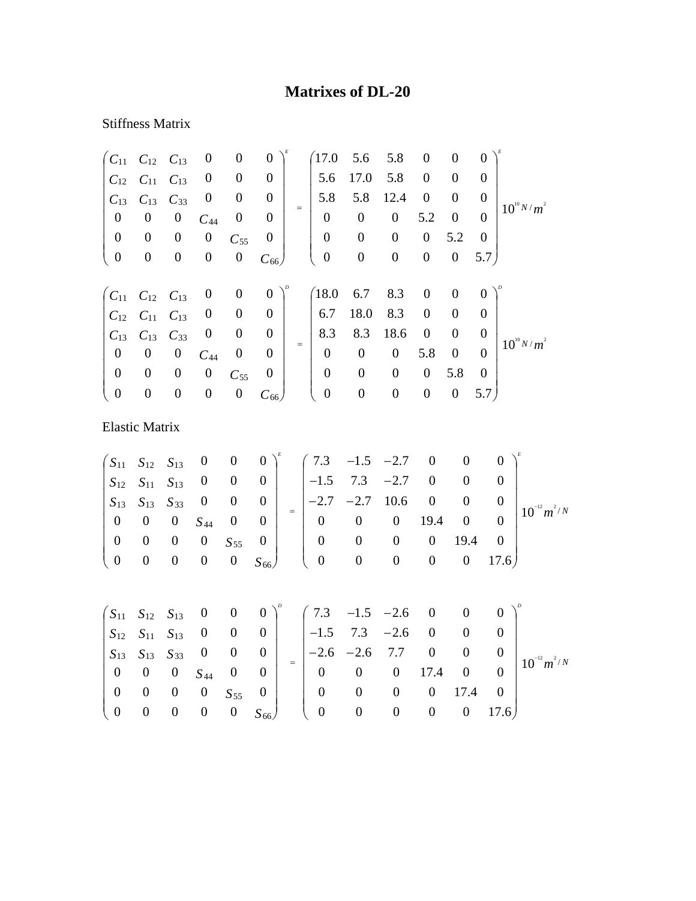## **Matrixes of DL-20**

## Stiffness Matrix

| $C_{11}$              | $C_{12}$           | $C_{13}$         | $\boldsymbol{0}$ | $\boldsymbol{0}$ | $\boldsymbol{0}$ |          | 17.0             | 5.6              | 5.8              | $\boldsymbol{0}$ | $\overline{0}$   | $\boldsymbol{0}$ |                  |
|-----------------------|--------------------|------------------|------------------|------------------|------------------|----------|------------------|------------------|------------------|------------------|------------------|------------------|------------------|
| $C_{12}$              | $C_{11}$           | $C_{13}$         | $\boldsymbol{0}$ | $\boldsymbol{0}$ | $\boldsymbol{0}$ |          | 5.6              | 17.0             | 5.8              | $\boldsymbol{0}$ | $\boldsymbol{0}$ | $\boldsymbol{0}$ |                  |
| $C_{13}$              | $C_{13}$           | $C_{33}$         | $\boldsymbol{0}$ | $\boldsymbol{0}$ | $\theta$         |          | 5.8              | 5.8              | 12.4             | $\boldsymbol{0}$ | $\boldsymbol{0}$ | $\boldsymbol{0}$ |                  |
| $\boldsymbol{0}$      | $\boldsymbol{0}$   | $\boldsymbol{0}$ | $C_{44}$         | $\boldsymbol{0}$ | $\boldsymbol{0}$ | $=$      | $\boldsymbol{0}$ | $\boldsymbol{0}$ | $\boldsymbol{0}$ | 5.2              | $\boldsymbol{0}$ | $\boldsymbol{0}$ | $10^{10} N/m^2$  |
| $\boldsymbol{0}$      | $\boldsymbol{0}$   | $\boldsymbol{0}$ | $\boldsymbol{0}$ | $C_{55}$         | $\boldsymbol{0}$ |          | $\boldsymbol{0}$ | $\boldsymbol{0}$ | $\boldsymbol{0}$ | $\boldsymbol{0}$ | 5.2              | $\boldsymbol{0}$ |                  |
| $\boldsymbol{0}$      | $\boldsymbol{0}$   | $\boldsymbol{0}$ | $\boldsymbol{0}$ | $\boldsymbol{0}$ | $C_{66}$         |          | $\boldsymbol{0}$ | $\boldsymbol{0}$ | $\boldsymbol{0}$ | $\boldsymbol{0}$ | $\boldsymbol{0}$ | 5.7)             |                  |
|                       |                    |                  |                  |                  |                  |          |                  |                  |                  |                  |                  |                  |                  |
| $C_{11}$              | $\mathcal{C}_{12}$ | $C_{13}$         | $\boldsymbol{0}$ | $\boldsymbol{0}$ | $\boldsymbol{0}$ |          | 18.0             | 6.7              | 8.3              | $\boldsymbol{0}$ | $\boldsymbol{0}$ | $\boldsymbol{0}$ |                  |
| $C_{12}$              | $C_{11}$           | $C_{13}$         | $\boldsymbol{0}$ | $\boldsymbol{0}$ | $\boldsymbol{0}$ |          | 6.7              | 18.0             | 8.3              | $\boldsymbol{0}$ | $\boldsymbol{0}$ | $\boldsymbol{0}$ |                  |
| $C_{13}$              | $C_{13}$           | $C_{33}$         | $\boldsymbol{0}$ | $\boldsymbol{0}$ | $\boldsymbol{0}$ |          | 8.3              | 8.3              | 18.6             | $\boldsymbol{0}$ | $\boldsymbol{0}$ | $\boldsymbol{0}$ | $10^{10} N/m^2$  |
| $\boldsymbol{0}$      | $\boldsymbol{0}$   | $\boldsymbol{0}$ | $C_{44}$         | $\boldsymbol{0}$ | $\boldsymbol{0}$ | $=$      | $\boldsymbol{0}$ | $\boldsymbol{0}$ | $\boldsymbol{0}$ | 5.8              | $\boldsymbol{0}$ | $\overline{0}$   |                  |
| $\boldsymbol{0}$      | $\boldsymbol{0}$   | $\boldsymbol{0}$ | $\boldsymbol{0}$ | $C_{55}$         | $\boldsymbol{0}$ |          | $\boldsymbol{0}$ | $\boldsymbol{0}$ | $\boldsymbol{0}$ | $\boldsymbol{0}$ | 5.8              | $\boldsymbol{0}$ |                  |
| $\boldsymbol{0}$      | $\boldsymbol{0}$   | $\boldsymbol{0}$ | $\boldsymbol{0}$ | $\boldsymbol{0}$ | $C_{66}$         |          | $\boldsymbol{0}$ | $\boldsymbol{0}$ | $\boldsymbol{0}$ | $\boldsymbol{0}$ | $\boldsymbol{0}$ | 5.7)             |                  |
| <b>Elastic Matrix</b> |                    |                  |                  |                  |                  |          |                  |                  |                  |                  |                  |                  |                  |
| $S_{11}$              | $S_{12}$           | $S_{13}$         | $\boldsymbol{0}$ | $\boldsymbol{0}$ | 0                |          | 7.3              | $-1.5$           | $-2.7$           | $\boldsymbol{0}$ | $\overline{0}$   | $\boldsymbol{0}$ |                  |
| $S_{12}$              | $S_{11}$           | $S_{13}$         | $\boldsymbol{0}$ | $\boldsymbol{0}$ | $\boldsymbol{0}$ |          | $-1.5$           | 7.3              | $-2.7$           | $\boldsymbol{0}$ | $\boldsymbol{0}$ | $\boldsymbol{0}$ |                  |
| $S_{13}$              | $S_{13}$           | $S_{33}$         | $\boldsymbol{0}$ | $\boldsymbol{0}$ | $\boldsymbol{0}$ |          | $-2.7$           | $-2.7$           | 10.6             | $\boldsymbol{0}$ | $\overline{0}$   | $\boldsymbol{0}$ |                  |
| $\boldsymbol{0}$      | $\boldsymbol{0}$   | $\boldsymbol{0}$ | $S_{44}$         | $\boldsymbol{0}$ | $\boldsymbol{0}$ | $\equiv$ | $\boldsymbol{0}$ | $\boldsymbol{0}$ | $\boldsymbol{0}$ | 19.4             | $\boldsymbol{0}$ | $\mathbf{0}$     | $10^{-12} m^2/N$ |
| $\boldsymbol{0}$      | $\boldsymbol{0}$   | $\boldsymbol{0}$ | $\boldsymbol{0}$ | $S_{55}$         | $\boldsymbol{0}$ |          | $\boldsymbol{0}$ | $\boldsymbol{0}$ | $\boldsymbol{0}$ | $\boldsymbol{0}$ | 19.4             | $\boldsymbol{0}$ |                  |
| $\boldsymbol{0}$      | $\boldsymbol{0}$   | $\boldsymbol{0}$ | $\boldsymbol{0}$ | $\boldsymbol{0}$ | $S_{66}$         |          | $\boldsymbol{0}$ | $\boldsymbol{0}$ | $\boldsymbol{0}$ | $\boldsymbol{0}$ | $\boldsymbol{0}$ | 17.6             |                  |

|  |  |                                                            | $\begin{pmatrix} S_{11} & S_{12} & S_{13} & 0 & 0 & 0 \end{pmatrix}^p$ $\begin{pmatrix} 7.3 & -1.5 & -2.6 & 0 & 0 & 0 \end{pmatrix}^p$                                                       |             |  |                       |                  |
|--|--|------------------------------------------------------------|----------------------------------------------------------------------------------------------------------------------------------------------------------------------------------------------|-------------|--|-----------------------|------------------|
|  |  |                                                            | $\begin{array}{ c c c c c c c c c } \hline S_{12} & S_{11} & S_{13} & 0 & 0 & 0 & \end{array}$   -1.5 7.3 -2.6 0 0                                                                           |             |  |                       |                  |
|  |  |                                                            | $\begin{vmatrix} S_{13} & S_{13} & S_{33} & 0 & 0 & 0 \ 0 & 0 & 0 & S_{44} & 0 & 0 \end{vmatrix}$ = $\begin{vmatrix} -2.6 & -2.6 & 7.7 & 0 & 0 & 0 \ 0 & 0 & 0 & 17.4 & 0 & 0 \end{vmatrix}$ |             |  |                       | $10^{-12} m^2/N$ |
|  |  |                                                            |                                                                                                                                                                                              |             |  |                       |                  |
|  |  | $\begin{bmatrix} 0 & 0 & 0 & 0 & S_{55} & 0 \end{bmatrix}$ |                                                                                                                                                                                              | $0\qquad 0$ |  | $0 \t 0 \t 17.4 \t 0$ |                  |
|  |  |                                                            | $\begin{pmatrix} 0 & 0 & 0 & 0 & 0 & S_{66} \end{pmatrix}$ $\begin{pmatrix} 0 & 0 & 0 & 0 & 0 & 17.6 \end{pmatrix}$                                                                          |             |  |                       |                  |